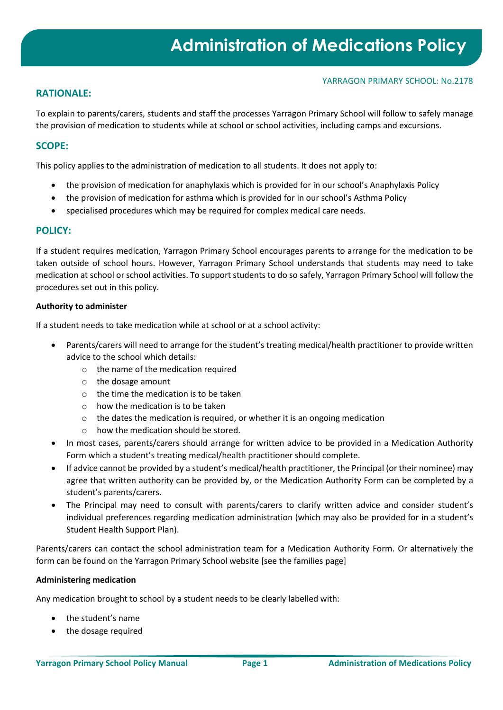## **RATIONALE:**

To explain to parents/carers, students and staff the processes Yarragon Primary School will follow to safely manage the provision of medication to students while at school or school activities, including camps and excursions.

## **SCOPE:**

This policy applies to the administration of medication to all students. It does not apply to:

- the provision of medication for anaphylaxis which is provided for in our school's Anaphylaxis Policy
- the provision of medication for asthma which is provided for in our school's Asthma Policy
- specialised procedures which may be required for complex medical care needs.

## **POLICY:**

If a student requires medication, Yarragon Primary School encourages parents to arrange for the medication to be taken outside of school hours. However, Yarragon Primary School understands that students may need to take medication at school or school activities. To support students to do so safely, Yarragon Primary School will follow the procedures set out in this policy.

#### **Authority to administer**

If a student needs to take medication while at school or at a school activity:

- Parents/carers will need to arrange for the student's treating medical/health practitioner to provide written advice to the school which details:
	- o the name of the medication required
	- o the dosage amount
	- o the time the medication is to be taken
	- o how the medication is to be taken
	- o the dates the medication is required, or whether it is an ongoing medication
	- o how the medication should be stored.
- In most cases, parents/carers should arrange for written advice to be provided in a Medication Authority Form which a student's treating medical/health practitioner should complete.
- If advice cannot be provided by a student's medical/health practitioner, the Principal (or their nominee) may agree that written authority can be provided by, or the Medication Authority Form can be completed by a student's parents/carers.
- The Principal may need to consult with parents/carers to clarify written advice and consider student's individual preferences regarding medication administration (which may also be provided for in a student's Student Health Support Plan).

Parents/carers can contact the school administration team for a Medication Authority Form. Or alternatively the form can be found on the Yarragon Primary School website [see the families page]

#### **Administering medication**

Any medication brought to school by a student needs to be clearly labelled with:

- the student's name
- the dosage required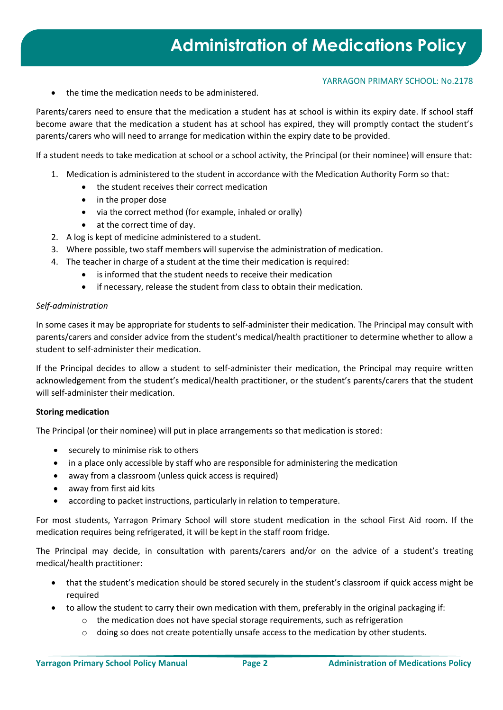• the time the medication needs to be administered.

Parents/carers need to ensure that the medication a student has at school is within its expiry date. If school staff become aware that the medication a student has at school has expired, they will promptly contact the student's parents/carers who will need to arrange for medication within the expiry date to be provided.

If a student needs to take medication at school or a school activity, the Principal (or their nominee) will ensure that:

- 1. Medication is administered to the student in accordance with the Medication Authority Form so that:
	- the student receives their correct medication
	- in the proper dose
	- via the correct method (for example, inhaled or orally)
	- at the correct time of day.
- 2. A log is kept of medicine administered to a student.
- 3. Where possible, two staff members will supervise the administration of medication.
- 4. The teacher in charge of a student at the time their medication is required:
	- is informed that the student needs to receive their medication
	- if necessary, release the student from class to obtain their medication.

#### *Self-administration*

In some cases it may be appropriate for students to self-administer their medication. The Principal may consult with parents/carers and consider advice from the student's medical/health practitioner to determine whether to allow a student to self-administer their medication.

If the Principal decides to allow a student to self-administer their medication, the Principal may require written acknowledgement from the student's medical/health practitioner, or the student's parents/carers that the student will self-administer their medication.

#### **Storing medication**

The Principal (or their nominee) will put in place arrangements so that medication is stored:

- securely to minimise risk to others
- in a place only accessible by staff who are responsible for administering the medication
- away from a classroom (unless quick access is required)
- away from first aid kits
- according to packet instructions, particularly in relation to temperature.

For most students, Yarragon Primary School will store student medication in the school First Aid room. If the medication requires being refrigerated, it will be kept in the staff room fridge.

The Principal may decide, in consultation with parents/carers and/or on the advice of a student's treating medical/health practitioner:

- that the student's medication should be stored securely in the student's classroom if quick access might be required
- to allow the student to carry their own medication with them, preferably in the original packaging if:
	- $\circ$  the medication does not have special storage requirements, such as refrigeration
	- o doing so does not create potentially unsafe access to the medication by other students.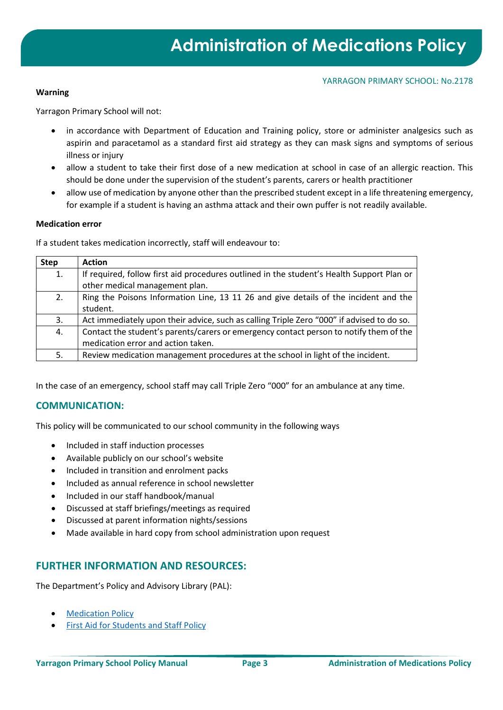#### **Warning**

Yarragon Primary School will not:

- in accordance with Department of Education and Training policy, store or administer analgesics such as aspirin and paracetamol as a standard first aid strategy as they can mask signs and symptoms of serious illness or injury
- allow a student to take their first dose of a new medication at school in case of an allergic reaction. This should be done under the supervision of the student's parents, carers or health practitioner
- allow use of medication by anyone other than the prescribed student except in a life threatening emergency, for example if a student is having an asthma attack and their own puffer is not readily available.

#### **Medication error**

If a student takes medication incorrectly, staff will endeavour to:

| <b>Step</b> | <b>Action</b>                                                                                                                |
|-------------|------------------------------------------------------------------------------------------------------------------------------|
| 1.          | If required, follow first aid procedures outlined in the student's Health Support Plan or<br>other medical management plan.  |
| 2.          | Ring the Poisons Information Line, 13 11 26 and give details of the incident and the<br>student.                             |
| 3.          | Act immediately upon their advice, such as calling Triple Zero "000" if advised to do so.                                    |
| 4.          | Contact the student's parents/carers or emergency contact person to notify them of the<br>medication error and action taken. |
| 5.          | Review medication management procedures at the school in light of the incident.                                              |

In the case of an emergency, school staff may call Triple Zero "000" for an ambulance at any time.

## **COMMUNICATION:**

This policy will be communicated to our school community in the following ways

- Included in staff induction processes
- Available publicly on our school's website
- Included in transition and enrolment packs
- Included as annual reference in school newsletter
- Included in our staff handbook/manual
- Discussed at staff briefings/meetings as required
- Discussed at parent information nights/sessions
- Made available in hard copy from school administration upon request

# **FURTHER INFORMATION AND RESOURCES:**

The Department's Policy and Advisory Library (PAL):

- [Medication Policy](https://www2.education.vic.gov.au/pal/medication/policy)
- [First Aid for Students and Staff Policy](https://www2.education.vic.gov.au/pal/first-aid-students-and-staff/policy)